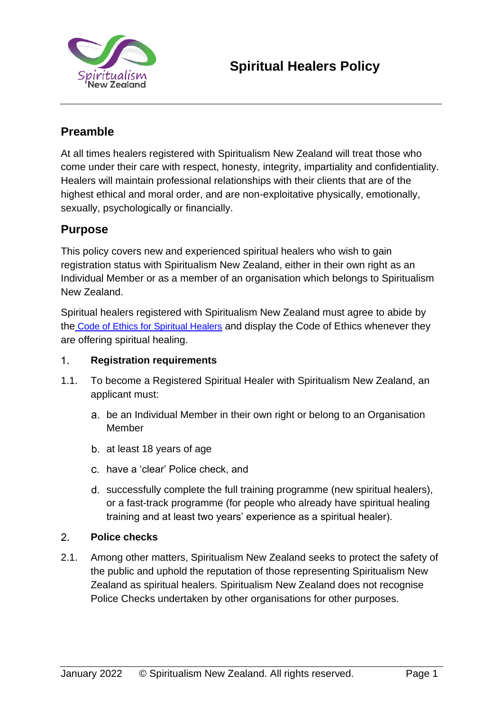

# **Preamble**

At all times healers registered with Spiritualism New Zealand will treat those who come under their care with respect, honesty, integrity, impartiality and confidentiality. Healers will maintain professional relationships with their clients that are of the highest ethical and moral order, and are non-exploitative physically, emotionally, sexually, psychologically or financially.

## **Purpose**

This policy covers new and experienced spiritual healers who wish to gain registration status with Spiritualism New Zealand, either in their own right as an Individual Member or as a member of an organisation which belongs to Spiritualism New Zealand.

Spiritual healers registered with Spiritualism New Zealand must agree to abide by the [Code of Ethics for Spiritual Healers](https://spiritualism.org.nz/wp-content/uploads/2017/12/Spiritual-Healers-Code-of-Ethics.pdf) and display the Code of Ethics whenever they are offering spiritual healing.

#### $1<sub>1</sub>$ **Registration requirements**

- 1.1. To become a Registered Spiritual Healer with Spiritualism New Zealand, an applicant must:
	- be an Individual Member in their own right or belong to an Organisation Member
	- b. at least 18 years of age
	- have a 'clear' Police check, and
	- d. successfully complete the full training programme (new spiritual healers), or a fast-track programme (for people who already have spiritual healing training and at least two years' experience as a spiritual healer).

### $2.$ **Police checks**

2.1. Among other matters, Spiritualism New Zealand seeks to protect the safety of the public and uphold the reputation of those representing Spiritualism New Zealand as spiritual healers. Spiritualism New Zealand does not recognise Police Checks undertaken by other organisations for other purposes.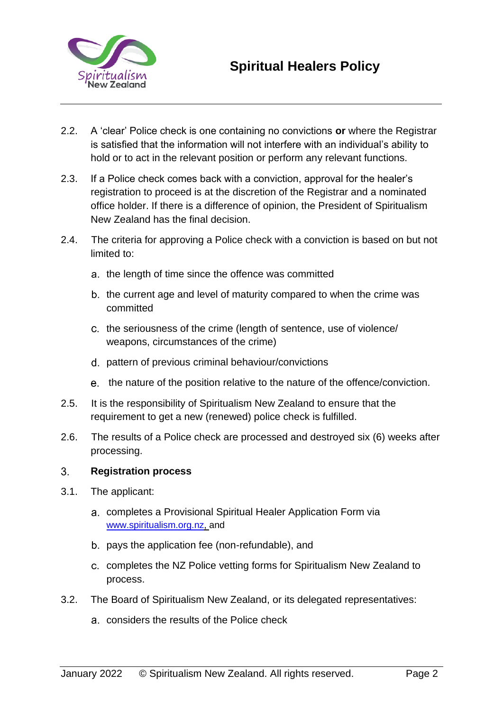

- 2.2. A 'clear' Police check is one containing no convictions **or** where the Registrar is satisfied that the information will not interfere with an individual's ability to hold or to act in the relevant position or perform any relevant functions.
- 2.3. If a Police check comes back with a conviction, approval for the healer's registration to proceed is at the discretion of the Registrar and a nominated office holder. If there is a difference of opinion, the President of Spiritualism New Zealand has the final decision.
- 2.4. The criteria for approving a Police check with a conviction is based on but not limited to:
	- a. the length of time since the offence was committed
	- b. the current age and level of maturity compared to when the crime was committed
	- c. the seriousness of the crime (length of sentence, use of violence/ weapons, circumstances of the crime)
	- pattern of previous criminal behaviour/convictions
	- e. the nature of the position relative to the nature of the offence/conviction.
- 2.5. It is the responsibility of Spiritualism New Zealand to ensure that the requirement to get a new (renewed) police check is fulfilled.
- 2.6. The results of a Police check are processed and destroyed six (6) weeks after processing.

### $3<sub>1</sub>$ **Registration process**

- 3.1. The applicant:
	- completes a Provisional Spiritual Healer Application Form via [www.spiritualism.org.nz,](http://www.spiritualism.org.nz/) and
	- b. pays the application fee (non-refundable), and
	- c. completes the NZ Police vetting forms for Spiritualism New Zealand to process.
- 3.2. The Board of Spiritualism New Zealand, or its delegated representatives:
	- considers the results of the Police check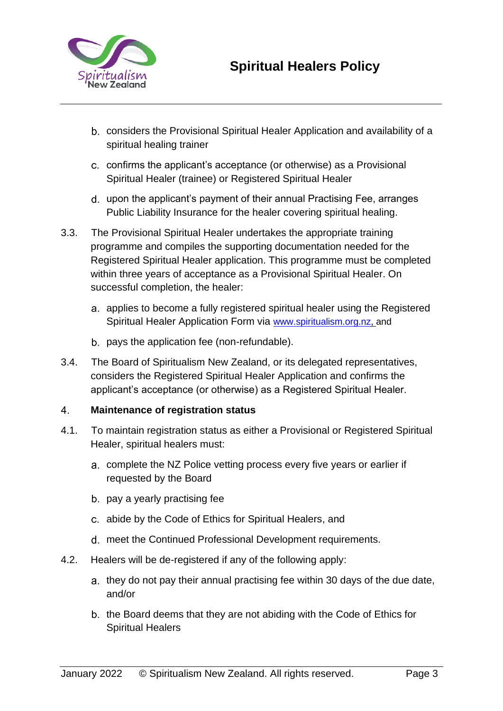

- considers the Provisional Spiritual Healer Application and availability of a spiritual healing trainer
- c. confirms the applicant's acceptance (or otherwise) as a Provisional Spiritual Healer (trainee) or Registered Spiritual Healer
- upon the applicant's payment of their annual Practising Fee, arranges Public Liability Insurance for the healer covering spiritual healing.
- 3.3. The Provisional Spiritual Healer undertakes the appropriate training programme and compiles the supporting documentation needed for the Registered Spiritual Healer application. This programme must be completed within three years of acceptance as a Provisional Spiritual Healer. On successful completion, the healer:
	- a. applies to become a fully registered spiritual healer using the Registered Spiritual Healer Application Form via [www.spiritualism.org.nz,](http://www.spiritualism.org.nz/) and
	- b. pays the application fee (non-refundable).
- 3.4. The Board of Spiritualism New Zealand, or its delegated representatives, considers the Registered Spiritual Healer Application and confirms the applicant's acceptance (or otherwise) as a Registered Spiritual Healer.

### $4<sup>1</sup>$ **Maintenance of registration status**

- 4.1. To maintain registration status as either a Provisional or Registered Spiritual Healer, spiritual healers must:
	- complete the NZ Police vetting process every five years or earlier if requested by the Board
	- b. pay a yearly practising fee
	- abide by the Code of Ethics for Spiritual Healers, and
	- meet the Continued Professional Development requirements.
- 4.2. Healers will be de-registered if any of the following apply:
	- a. they do not pay their annual practising fee within 30 days of the due date, and/or
	- b. the Board deems that they are not abiding with the Code of Ethics for Spiritual Healers